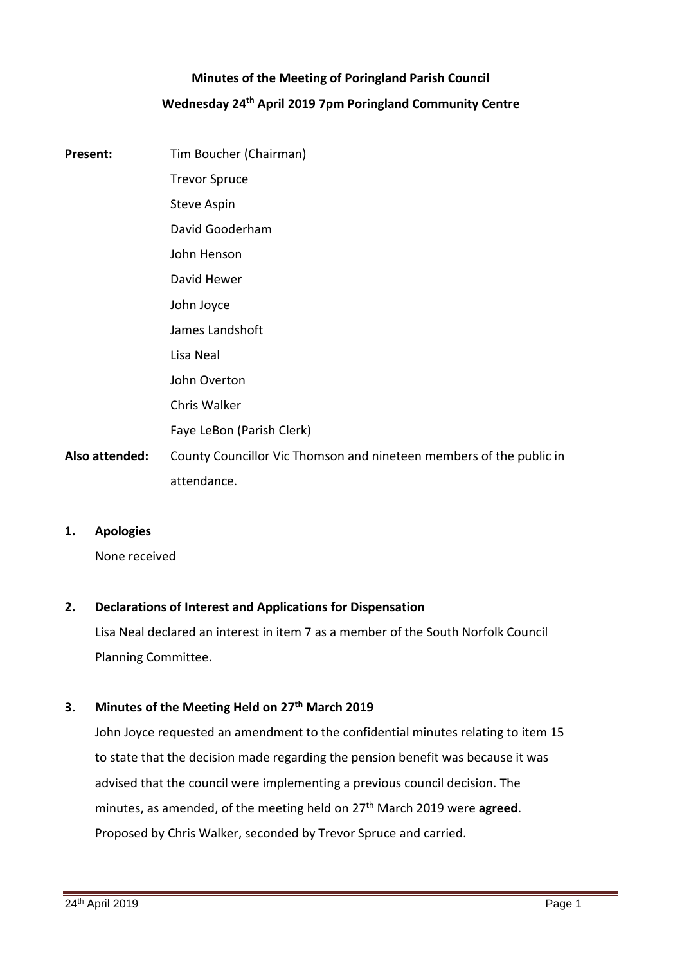# **Minutes of the Meeting of Poringland Parish Council Wednesday 24th April 2019 7pm Poringland Community Centre**

**Present:** Tim Boucher (Chairman) Trevor Spruce Steve Aspin David Gooderham John Henson David Hewer John Joyce James Landshoft Lisa Neal John Overton Chris Walker Faye LeBon (Parish Clerk) **Also attended:** County Councillor Vic Thomson and nineteen members of the public in attendance.

### **1. Apologies**

None received

## **2. Declarations of Interest and Applications for Dispensation**

Lisa Neal declared an interest in item 7 as a member of the South Norfolk Council Planning Committee.

## **3. Minutes of the Meeting Held on 27th March 2019**

John Joyce requested an amendment to the confidential minutes relating to item 15 to state that the decision made regarding the pension benefit was because it was advised that the council were implementing a previous council decision. The minutes, as amended, of the meeting held on 27th March 2019 were **agreed**. Proposed by Chris Walker, seconded by Trevor Spruce and carried.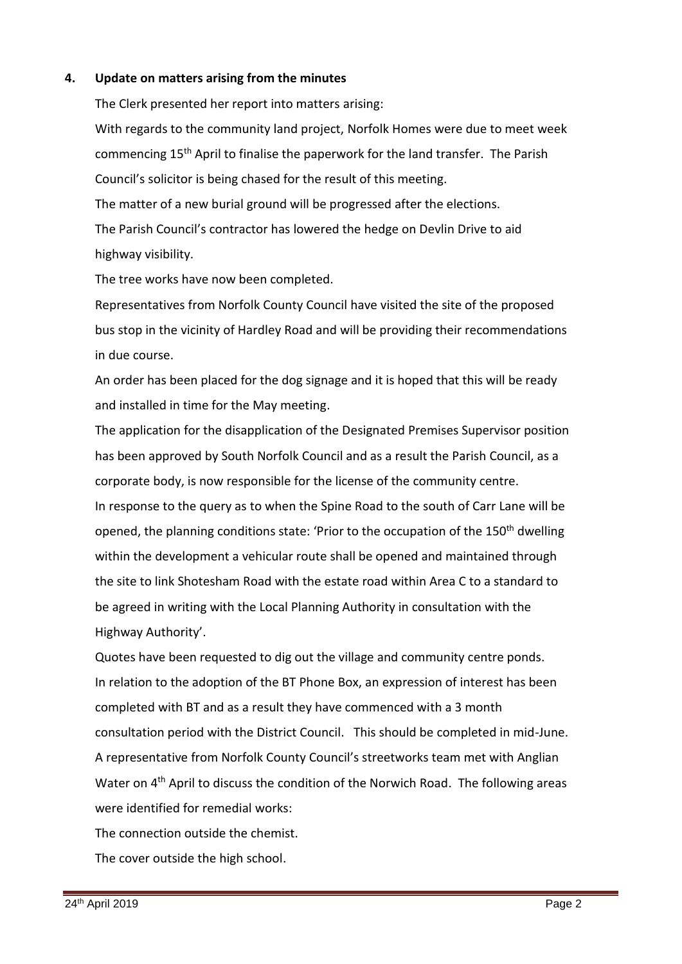### **4. Update on matters arising from the minutes**

The Clerk presented her report into matters arising:

With regards to the community land project, Norfolk Homes were due to meet week commencing 15th April to finalise the paperwork for the land transfer. The Parish Council's solicitor is being chased for the result of this meeting. The matter of a new burial ground will be progressed after the elections. The Parish Council's contractor has lowered the hedge on Devlin Drive to aid highway visibility.

The tree works have now been completed.

Representatives from Norfolk County Council have visited the site of the proposed bus stop in the vicinity of Hardley Road and will be providing their recommendations in due course.

An order has been placed for the dog signage and it is hoped that this will be ready and installed in time for the May meeting.

The application for the disapplication of the Designated Premises Supervisor position has been approved by South Norfolk Council and as a result the Parish Council, as a corporate body, is now responsible for the license of the community centre.

In response to the query as to when the Spine Road to the south of Carr Lane will be opened, the planning conditions state: 'Prior to the occupation of the 150<sup>th</sup> dwelling within the development a vehicular route shall be opened and maintained through the site to link Shotesham Road with the estate road within Area C to a standard to be agreed in writing with the Local Planning Authority in consultation with the Highway Authority'.

Quotes have been requested to dig out the village and community centre ponds. In relation to the adoption of the BT Phone Box, an expression of interest has been completed with BT and as a result they have commenced with a 3 month consultation period with the District Council. This should be completed in mid-June. A representative from Norfolk County Council's streetworks team met with Anglian Water on 4th April to discuss the condition of the Norwich Road. The following areas were identified for remedial works:

The connection outside the chemist.

The cover outside the high school.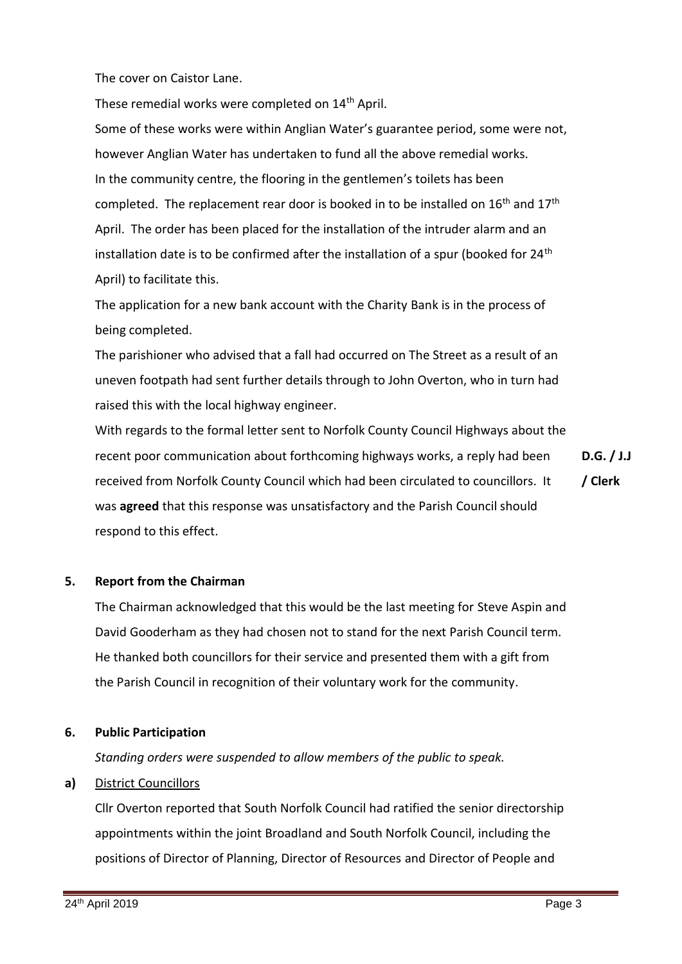The cover on Caistor Lane.

These remedial works were completed on 14<sup>th</sup> April.

Some of these works were within Anglian Water's guarantee period, some were not, however Anglian Water has undertaken to fund all the above remedial works. In the community centre, the flooring in the gentlemen's toilets has been completed. The replacement rear door is booked in to be installed on  $16<sup>th</sup>$  and  $17<sup>th</sup>$ April. The order has been placed for the installation of the intruder alarm and an installation date is to be confirmed after the installation of a spur (booked for  $24<sup>th</sup>$ April) to facilitate this.

The application for a new bank account with the Charity Bank is in the process of being completed.

The parishioner who advised that a fall had occurred on The Street as a result of an uneven footpath had sent further details through to John Overton, who in turn had raised this with the local highway engineer.

With regards to the formal letter sent to Norfolk County Council Highways about the recent poor communication about forthcoming highways works, a reply had been received from Norfolk County Council which had been circulated to councillors. It was **agreed** that this response was unsatisfactory and the Parish Council should respond to this effect. **D.G. / J.J / Clerk**

### **5. Report from the Chairman**

The Chairman acknowledged that this would be the last meeting for Steve Aspin and David Gooderham as they had chosen not to stand for the next Parish Council term. He thanked both councillors for their service and presented them with a gift from the Parish Council in recognition of their voluntary work for the community.

### **6. Public Participation**

*Standing orders were suspended to allow members of the public to speak.*

### **a)** District Councillors

Cllr Overton reported that South Norfolk Council had ratified the senior directorship appointments within the joint Broadland and South Norfolk Council, including the positions of Director of Planning, Director of Resources and Director of People and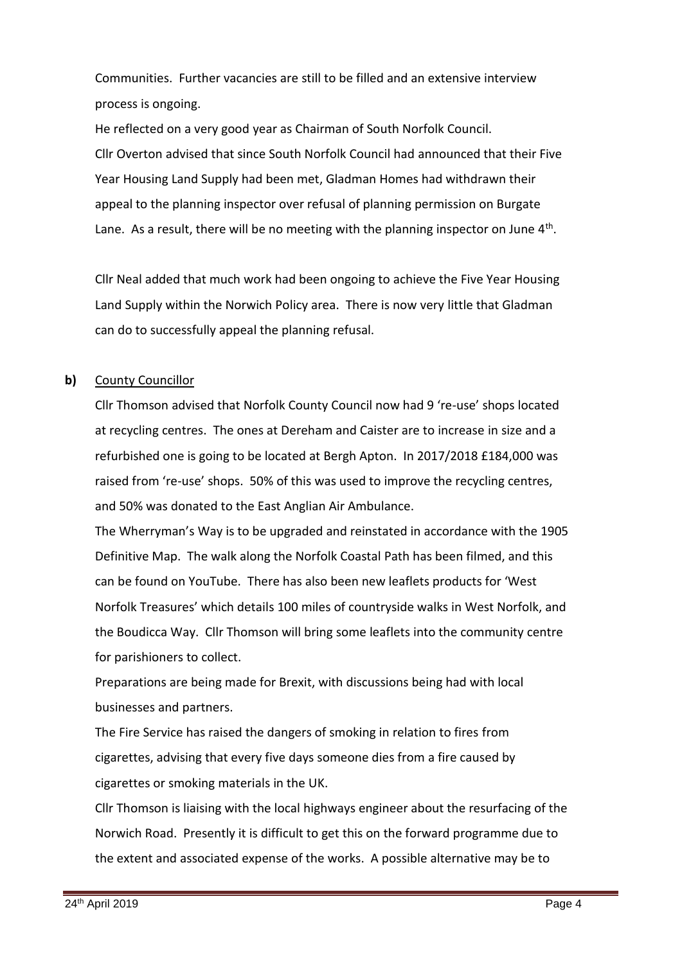Communities. Further vacancies are still to be filled and an extensive interview process is ongoing.

He reflected on a very good year as Chairman of South Norfolk Council. Cllr Overton advised that since South Norfolk Council had announced that their Five Year Housing Land Supply had been met, Gladman Homes had withdrawn their appeal to the planning inspector over refusal of planning permission on Burgate Lane. As a result, there will be no meeting with the planning inspector on June  $4<sup>th</sup>$ .

Cllr Neal added that much work had been ongoing to achieve the Five Year Housing Land Supply within the Norwich Policy area. There is now very little that Gladman can do to successfully appeal the planning refusal.

## **b)** County Councillor

Cllr Thomson advised that Norfolk County Council now had 9 're-use' shops located at recycling centres. The ones at Dereham and Caister are to increase in size and a refurbished one is going to be located at Bergh Apton. In 2017/2018 £184,000 was raised from 're-use' shops. 50% of this was used to improve the recycling centres, and 50% was donated to the East Anglian Air Ambulance.

The Wherryman's Way is to be upgraded and reinstated in accordance with the 1905 Definitive Map. The walk along the Norfolk Coastal Path has been filmed, and this can be found on YouTube. There has also been new leaflets products for 'West Norfolk Treasures' which details 100 miles of countryside walks in West Norfolk, and the Boudicca Way. Cllr Thomson will bring some leaflets into the community centre for parishioners to collect.

Preparations are being made for Brexit, with discussions being had with local businesses and partners.

The Fire Service has raised the dangers of smoking in relation to fires from cigarettes, advising that every five days someone dies from a fire caused by cigarettes or smoking materials in the UK.

Cllr Thomson is liaising with the local highways engineer about the resurfacing of the Norwich Road. Presently it is difficult to get this on the forward programme due to the extent and associated expense of the works. A possible alternative may be to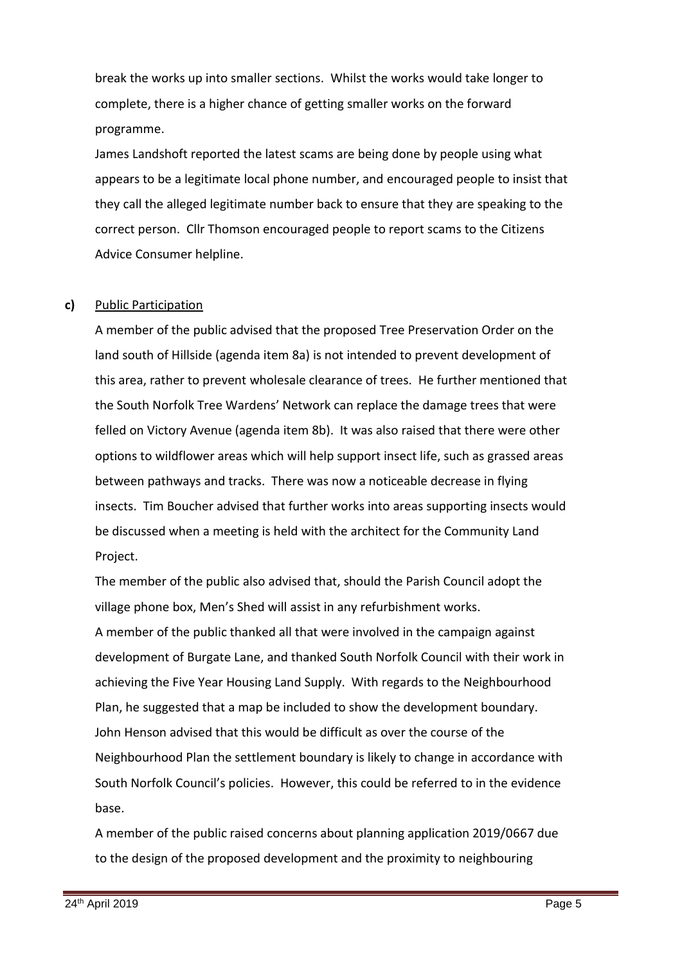break the works up into smaller sections. Whilst the works would take longer to complete, there is a higher chance of getting smaller works on the forward programme.

James Landshoft reported the latest scams are being done by people using what appears to be a legitimate local phone number, and encouraged people to insist that they call the alleged legitimate number back to ensure that they are speaking to the correct person. Cllr Thomson encouraged people to report scams to the Citizens Advice Consumer helpline.

### **c)** Public Participation

A member of the public advised that the proposed Tree Preservation Order on the land south of Hillside (agenda item 8a) is not intended to prevent development of this area, rather to prevent wholesale clearance of trees. He further mentioned that the South Norfolk Tree Wardens' Network can replace the damage trees that were felled on Victory Avenue (agenda item 8b). It was also raised that there were other options to wildflower areas which will help support insect life, such as grassed areas between pathways and tracks. There was now a noticeable decrease in flying insects. Tim Boucher advised that further works into areas supporting insects would be discussed when a meeting is held with the architect for the Community Land Project.

The member of the public also advised that, should the Parish Council adopt the village phone box, Men's Shed will assist in any refurbishment works. A member of the public thanked all that were involved in the campaign against development of Burgate Lane, and thanked South Norfolk Council with their work in achieving the Five Year Housing Land Supply. With regards to the Neighbourhood Plan, he suggested that a map be included to show the development boundary. John Henson advised that this would be difficult as over the course of the Neighbourhood Plan the settlement boundary is likely to change in accordance with South Norfolk Council's policies. However, this could be referred to in the evidence base.

A member of the public raised concerns about planning application 2019/0667 due to the design of the proposed development and the proximity to neighbouring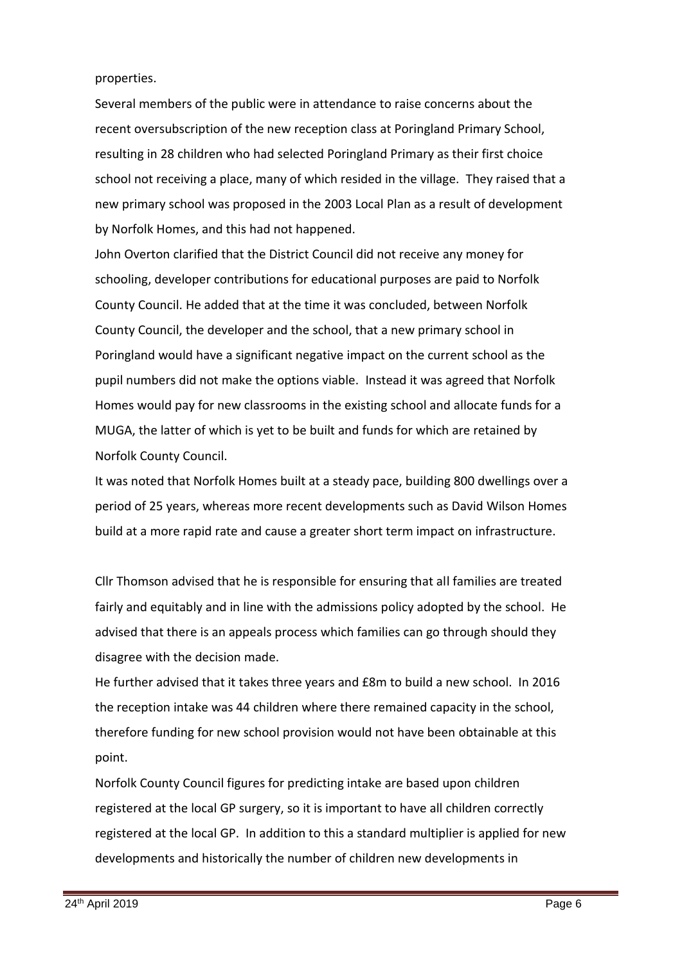### properties.

Several members of the public were in attendance to raise concerns about the recent oversubscription of the new reception class at Poringland Primary School, resulting in 28 children who had selected Poringland Primary as their first choice school not receiving a place, many of which resided in the village. They raised that a new primary school was proposed in the 2003 Local Plan as a result of development by Norfolk Homes, and this had not happened.

John Overton clarified that the District Council did not receive any money for schooling, developer contributions for educational purposes are paid to Norfolk County Council. He added that at the time it was concluded, between Norfolk County Council, the developer and the school, that a new primary school in Poringland would have a significant negative impact on the current school as the pupil numbers did not make the options viable. Instead it was agreed that Norfolk Homes would pay for new classrooms in the existing school and allocate funds for a MUGA, the latter of which is yet to be built and funds for which are retained by Norfolk County Council.

It was noted that Norfolk Homes built at a steady pace, building 800 dwellings over a period of 25 years, whereas more recent developments such as David Wilson Homes build at a more rapid rate and cause a greater short term impact on infrastructure.

Cllr Thomson advised that he is responsible for ensuring that all families are treated fairly and equitably and in line with the admissions policy adopted by the school. He advised that there is an appeals process which families can go through should they disagree with the decision made.

He further advised that it takes three years and £8m to build a new school. In 2016 the reception intake was 44 children where there remained capacity in the school, therefore funding for new school provision would not have been obtainable at this point.

Norfolk County Council figures for predicting intake are based upon children registered at the local GP surgery, so it is important to have all children correctly registered at the local GP. In addition to this a standard multiplier is applied for new developments and historically the number of children new developments in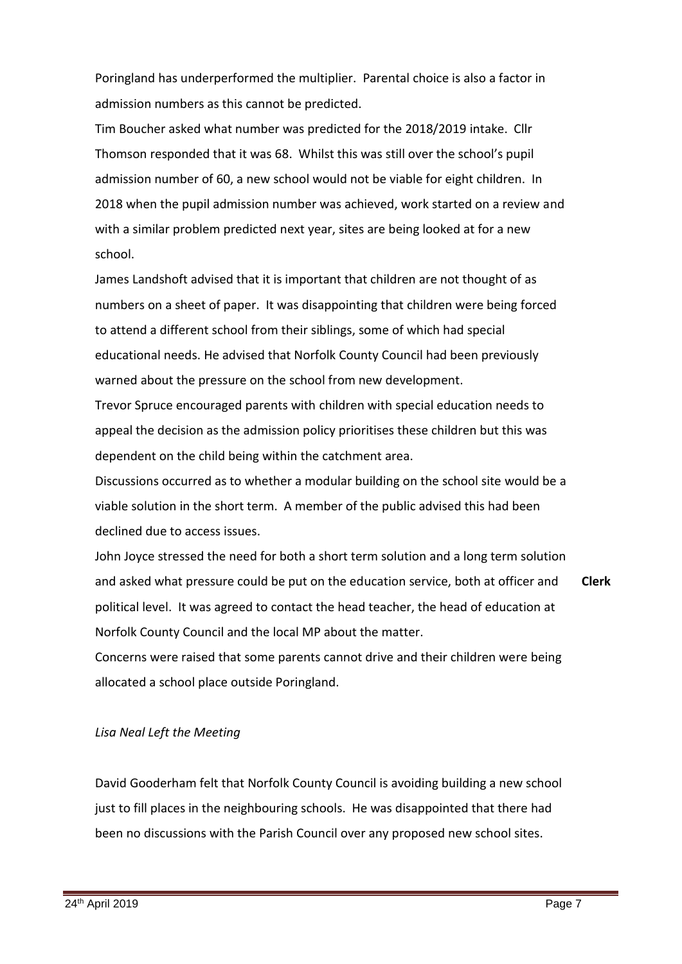Poringland has underperformed the multiplier. Parental choice is also a factor in admission numbers as this cannot be predicted.

Tim Boucher asked what number was predicted for the 2018/2019 intake. Cllr Thomson responded that it was 68. Whilst this was still over the school's pupil admission number of 60, a new school would not be viable for eight children. In 2018 when the pupil admission number was achieved, work started on a review and with a similar problem predicted next year, sites are being looked at for a new school.

James Landshoft advised that it is important that children are not thought of as numbers on a sheet of paper. It was disappointing that children were being forced to attend a different school from their siblings, some of which had special educational needs. He advised that Norfolk County Council had been previously warned about the pressure on the school from new development.

Trevor Spruce encouraged parents with children with special education needs to appeal the decision as the admission policy prioritises these children but this was dependent on the child being within the catchment area.

Discussions occurred as to whether a modular building on the school site would be a viable solution in the short term. A member of the public advised this had been declined due to access issues.

John Joyce stressed the need for both a short term solution and a long term solution and asked what pressure could be put on the education service, both at officer and political level. It was agreed to contact the head teacher, the head of education at Norfolk County Council and the local MP about the matter. **Clerk**

Concerns were raised that some parents cannot drive and their children were being allocated a school place outside Poringland.

### *Lisa Neal Left the Meeting*

David Gooderham felt that Norfolk County Council is avoiding building a new school just to fill places in the neighbouring schools. He was disappointed that there had been no discussions with the Parish Council over any proposed new school sites.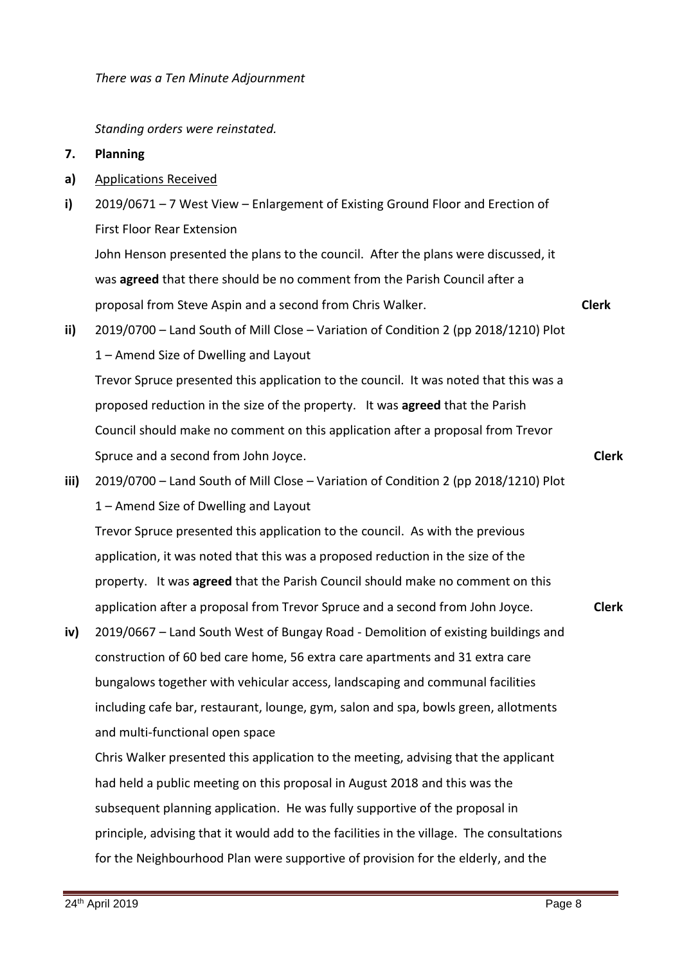*There was a Ten Minute Adjournment* 

*Standing orders were reinstated.* 

#### **7. Planning**

- **a)** Applications Received
- **i)** 2019/0671 – 7 West View – Enlargement of Existing Ground Floor and Erection of First Floor Rear Extension

John Henson presented the plans to the council. After the plans were discussed, it was **agreed** that there should be no comment from the Parish Council after a proposal from Steve Aspin and a second from Chris Walker.

- **ii)** 2019/0700 – Land South of Mill Close – Variation of Condition 2 (pp 2018/1210) Plot 1 – Amend Size of Dwelling and Layout Trevor Spruce presented this application to the council. It was noted that this was a proposed reduction in the size of the property. It was **agreed** that the Parish Council should make no comment on this application after a proposal from Trevor Spruce and a second from John Joyce.
- **iii)** 2019/0700 – Land South of Mill Close – Variation of Condition 2 (pp 2018/1210) Plot 1 – Amend Size of Dwelling and Layout Trevor Spruce presented this application to the council. As with the previous application, it was noted that this was a proposed reduction in the size of the

property. It was **agreed** that the Parish Council should make no comment on this application after a proposal from Trevor Spruce and a second from John Joyce.

**iv)** 2019/0667 – Land South West of Bungay Road - Demolition of existing buildings and construction of 60 bed care home, 56 extra care apartments and 31 extra care bungalows together with vehicular access, landscaping and communal facilities including cafe bar, restaurant, lounge, gym, salon and spa, bowls green, allotments and multi-functional open space

Chris Walker presented this application to the meeting, advising that the applicant had held a public meeting on this proposal in August 2018 and this was the subsequent planning application. He was fully supportive of the proposal in principle, advising that it would add to the facilities in the village. The consultations for the Neighbourhood Plan were supportive of provision for the elderly, and the

**Clerk**

**Clerk**

**Clerk**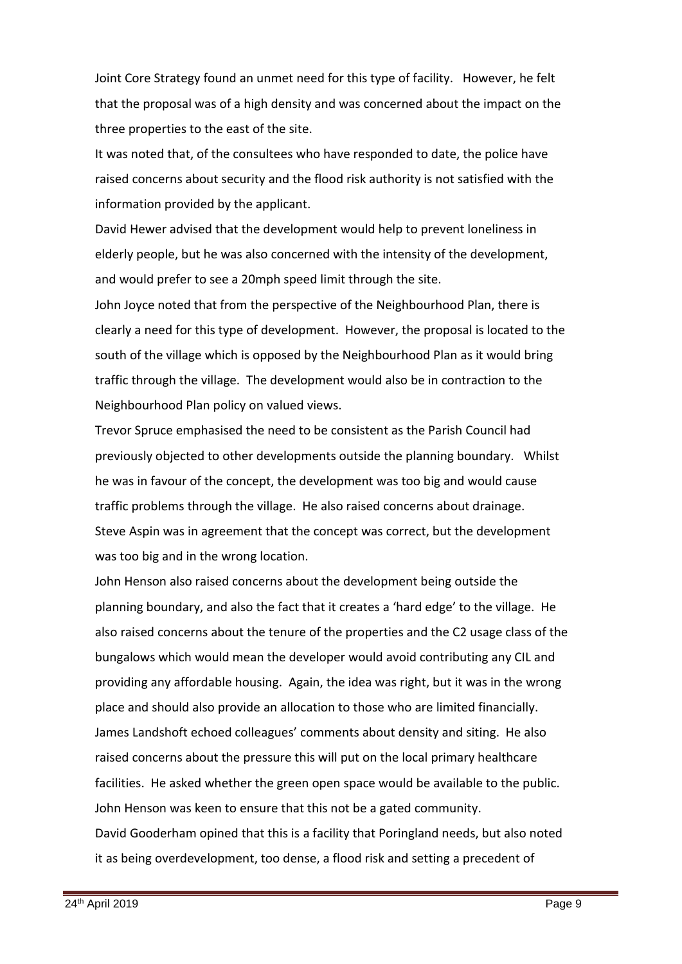Joint Core Strategy found an unmet need for this type of facility. However, he felt that the proposal was of a high density and was concerned about the impact on the three properties to the east of the site.

It was noted that, of the consultees who have responded to date, the police have raised concerns about security and the flood risk authority is not satisfied with the information provided by the applicant.

David Hewer advised that the development would help to prevent loneliness in elderly people, but he was also concerned with the intensity of the development, and would prefer to see a 20mph speed limit through the site.

John Joyce noted that from the perspective of the Neighbourhood Plan, there is clearly a need for this type of development. However, the proposal is located to the south of the village which is opposed by the Neighbourhood Plan as it would bring traffic through the village. The development would also be in contraction to the Neighbourhood Plan policy on valued views.

Trevor Spruce emphasised the need to be consistent as the Parish Council had previously objected to other developments outside the planning boundary. Whilst he was in favour of the concept, the development was too big and would cause traffic problems through the village. He also raised concerns about drainage. Steve Aspin was in agreement that the concept was correct, but the development was too big and in the wrong location.

John Henson also raised concerns about the development being outside the planning boundary, and also the fact that it creates a 'hard edge' to the village. He also raised concerns about the tenure of the properties and the C2 usage class of the bungalows which would mean the developer would avoid contributing any CIL and providing any affordable housing. Again, the idea was right, but it was in the wrong place and should also provide an allocation to those who are limited financially. James Landshoft echoed colleagues' comments about density and siting. He also raised concerns about the pressure this will put on the local primary healthcare facilities. He asked whether the green open space would be available to the public. John Henson was keen to ensure that this not be a gated community. David Gooderham opined that this is a facility that Poringland needs, but also noted it as being overdevelopment, too dense, a flood risk and setting a precedent of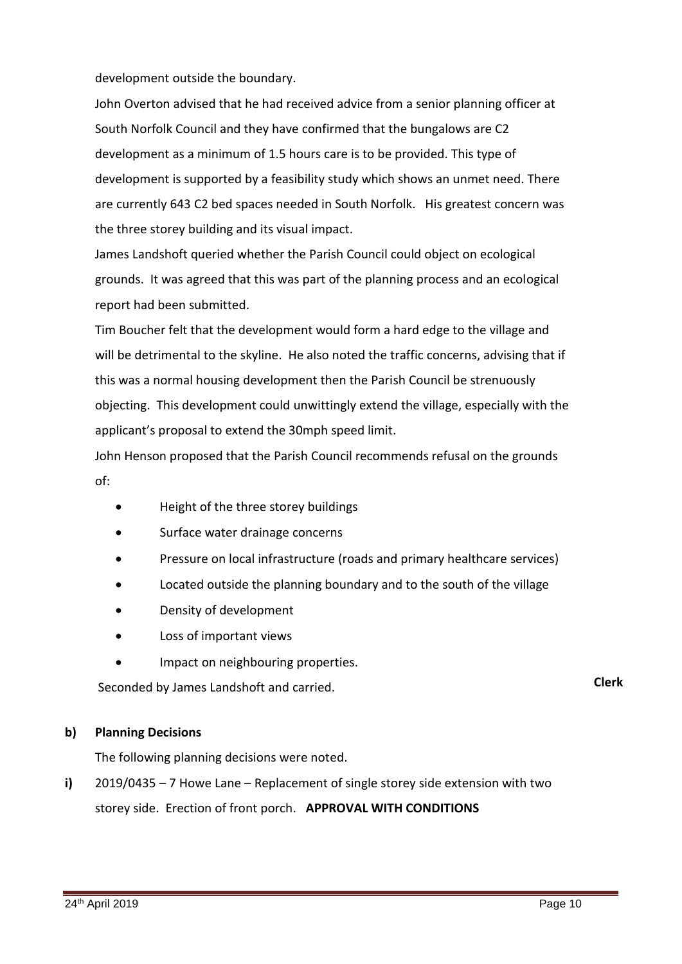## development outside the boundary.

John Overton advised that he had received advice from a senior planning officer at South Norfolk Council and they have confirmed that the bungalows are C2 development as a minimum of 1.5 hours care is to be provided. This type of development is supported by a feasibility study which shows an unmet need. There are currently 643 C2 bed spaces needed in South Norfolk. His greatest concern was the three storey building and its visual impact.

James Landshoft queried whether the Parish Council could object on ecological grounds. It was agreed that this was part of the planning process and an ecological report had been submitted.

Tim Boucher felt that the development would form a hard edge to the village and will be detrimental to the skyline. He also noted the traffic concerns, advising that if this was a normal housing development then the Parish Council be strenuously objecting. This development could unwittingly extend the village, especially with the applicant's proposal to extend the 30mph speed limit.

John Henson proposed that the Parish Council recommends refusal on the grounds of:

- Height of the three storey buildings
- Surface water drainage concerns
- Pressure on local infrastructure (roads and primary healthcare services)
- Located outside the planning boundary and to the south of the village
- Density of development
- Loss of important views
- Impact on neighbouring properties.

Seconded by James Landshoft and carried. **Clerk**

#### **b) Planning Decisions**

The following planning decisions were noted.

**i)** 2019/0435 – 7 Howe Lane – Replacement of single storey side extension with two storey side. Erection of front porch. **APPROVAL WITH CONDITIONS**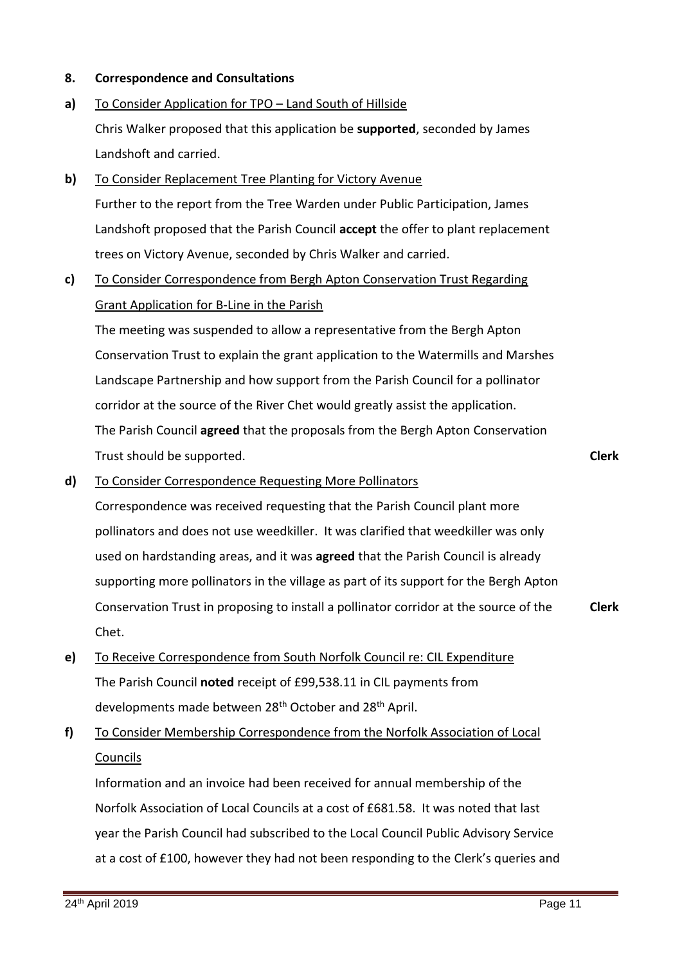#### **8. Correspondence and Consultations**

- **a)** To Consider Application for TPO - Land South of Hillside Chris Walker proposed that this application be **supported**, seconded by James Landshoft and carried.
- **b)** To Consider Replacement Tree Planting for Victory Avenue Further to the report from the Tree Warden under Public Participation, James Landshoft proposed that the Parish Council **accept** the offer to plant replacement trees on Victory Avenue, seconded by Chris Walker and carried.

### **c)**  To Consider Correspondence from Bergh Apton Conservation Trust Regarding Grant Application for B-Line in the Parish

The meeting was suspended to allow a representative from the Bergh Apton Conservation Trust to explain the grant application to the Watermills and Marshes Landscape Partnership and how support from the Parish Council for a pollinator corridor at the source of the River Chet would greatly assist the application. The Parish Council **agreed** that the proposals from the Bergh Apton Conservation Trust should be supported.

**Clerk**

#### **d)**  To Consider Correspondence Requesting More Pollinators

Correspondence was received requesting that the Parish Council plant more pollinators and does not use weedkiller. It was clarified that weedkiller was only used on hardstanding areas, and it was **agreed** that the Parish Council is already supporting more pollinators in the village as part of its support for the Bergh Apton Conservation Trust in proposing to install a pollinator corridor at the source of the Chet. **Clerk**

- **e)**  To Receive Correspondence from South Norfolk Council re: CIL Expenditure The Parish Council **noted** receipt of £99,538.11 in CIL payments from developments made between 28<sup>th</sup> October and 28<sup>th</sup> April.
- **f)**  To Consider Membership Correspondence from the Norfolk Association of Local Councils

Information and an invoice had been received for annual membership of the Norfolk Association of Local Councils at a cost of £681.58. It was noted that last year the Parish Council had subscribed to the Local Council Public Advisory Service at a cost of £100, however they had not been responding to the Clerk's queries and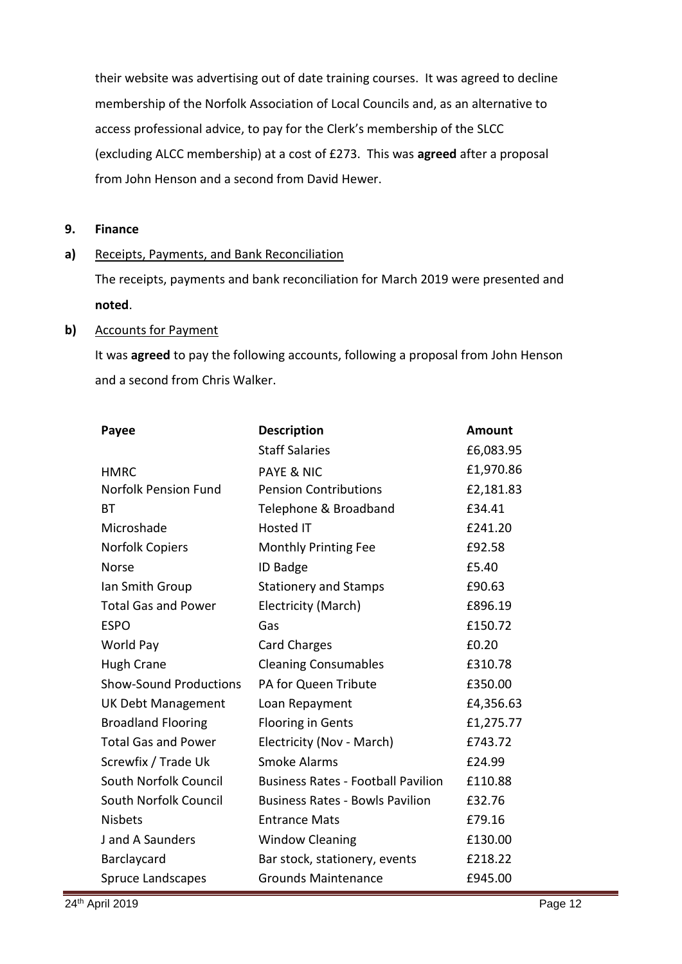their website was advertising out of date training courses. It was agreed to decline membership of the Norfolk Association of Local Councils and, as an alternative to access professional advice, to pay for the Clerk's membership of the SLCC (excluding ALCC membership) at a cost of £273. This was **agreed** after a proposal from John Henson and a second from David Hewer.

#### **9. Finance**

#### **a)** Receipts, Payments, and Bank Reconciliation

The receipts, payments and bank reconciliation for March 2019 were presented and **noted**.

### **b)** Accounts for Payment

It was **agreed** to pay the following accounts, following a proposal from John Henson and a second from Chris Walker.

| Payee                         | <b>Description</b>                        | <b>Amount</b> |
|-------------------------------|-------------------------------------------|---------------|
|                               | <b>Staff Salaries</b>                     | £6,083.95     |
| <b>HMRC</b>                   | <b>PAYE &amp; NIC</b>                     | £1,970.86     |
| <b>Norfolk Pension Fund</b>   | <b>Pension Contributions</b>              | £2,181.83     |
| ВT                            | Telephone & Broadband                     | £34.41        |
| Microshade                    | <b>Hosted IT</b>                          | £241.20       |
| <b>Norfolk Copiers</b>        | <b>Monthly Printing Fee</b>               | £92.58        |
| Norse                         | <b>ID Badge</b>                           | £5.40         |
| Ian Smith Group               | <b>Stationery and Stamps</b>              | £90.63        |
| <b>Total Gas and Power</b>    | Electricity (March)                       | £896.19       |
| <b>ESPO</b>                   | Gas                                       | £150.72       |
| World Pay                     | <b>Card Charges</b>                       | £0.20         |
| <b>Hugh Crane</b>             | <b>Cleaning Consumables</b>               | £310.78       |
| <b>Show-Sound Productions</b> | PA for Queen Tribute                      | £350.00       |
| <b>UK Debt Management</b>     | Loan Repayment                            | £4,356.63     |
| <b>Broadland Flooring</b>     | <b>Flooring in Gents</b>                  | £1,275.77     |
| <b>Total Gas and Power</b>    | Electricity (Nov - March)                 | £743.72       |
| Screwfix / Trade Uk           | <b>Smoke Alarms</b>                       | £24.99        |
| South Norfolk Council         | <b>Business Rates - Football Pavilion</b> | £110.88       |
| South Norfolk Council         | <b>Business Rates - Bowls Pavilion</b>    | £32.76        |
| <b>Nisbets</b>                | <b>Entrance Mats</b>                      | £79.16        |
| J and A Saunders              | <b>Window Cleaning</b>                    | £130.00       |
| Barclaycard                   | Bar stock, stationery, events             | £218.22       |
| <b>Spruce Landscapes</b>      | <b>Grounds Maintenance</b>                | £945.00       |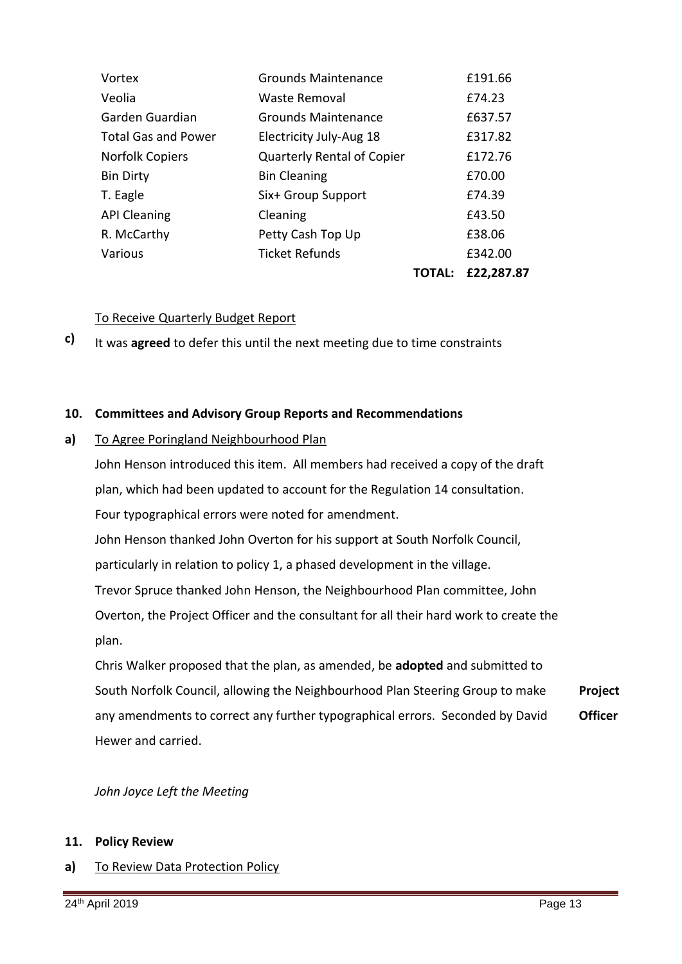|                            |                                   | <b>TOTAL:</b> | £22,287.87 |
|----------------------------|-----------------------------------|---------------|------------|
| Various                    | Ticket Refunds                    |               | £342.00    |
| R. McCarthy                | Petty Cash Top Up                 |               | £38.06     |
| <b>API Cleaning</b>        | Cleaning                          |               | £43.50     |
| T. Eagle                   | Six+ Group Support                |               | £74.39     |
| <b>Bin Dirty</b>           | <b>Bin Cleaning</b>               |               | £70.00     |
| <b>Norfolk Copiers</b>     | <b>Quarterly Rental of Copier</b> |               | £172.76    |
| <b>Total Gas and Power</b> | Electricity July-Aug 18           |               | £317.82    |
| Garden Guardian            | <b>Grounds Maintenance</b>        |               | £637.57    |
| Veolia                     | Waste Removal                     |               | £74.23     |
| Vortex                     | <b>Grounds Maintenance</b>        |               | £191.66    |

### To Receive Quarterly Budget Report

**c)**  It was **agreed** to defer this until the next meeting due to time constraints

### **10. Committees and Advisory Group Reports and Recommendations**

#### **a)** To Agree Poringland Neighbourhood Plan

John Henson introduced this item. All members had received a copy of the draft plan, which had been updated to account for the Regulation 14 consultation. Four typographical errors were noted for amendment. John Henson thanked John Overton for his support at South Norfolk Council,

particularly in relation to policy 1, a phased development in the village.

Trevor Spruce thanked John Henson, the Neighbourhood Plan committee, John

Overton, the Project Officer and the consultant for all their hard work to create the plan.

Chris Walker proposed that the plan, as amended, be **adopted** and submitted to South Norfolk Council, allowing the Neighbourhood Plan Steering Group to make any amendments to correct any further typographical errors. Seconded by David Hewer and carried. **Project Officer**

*John Joyce Left the Meeting* 

### **11. Policy Review**

**a)** To Review Data Protection Policy